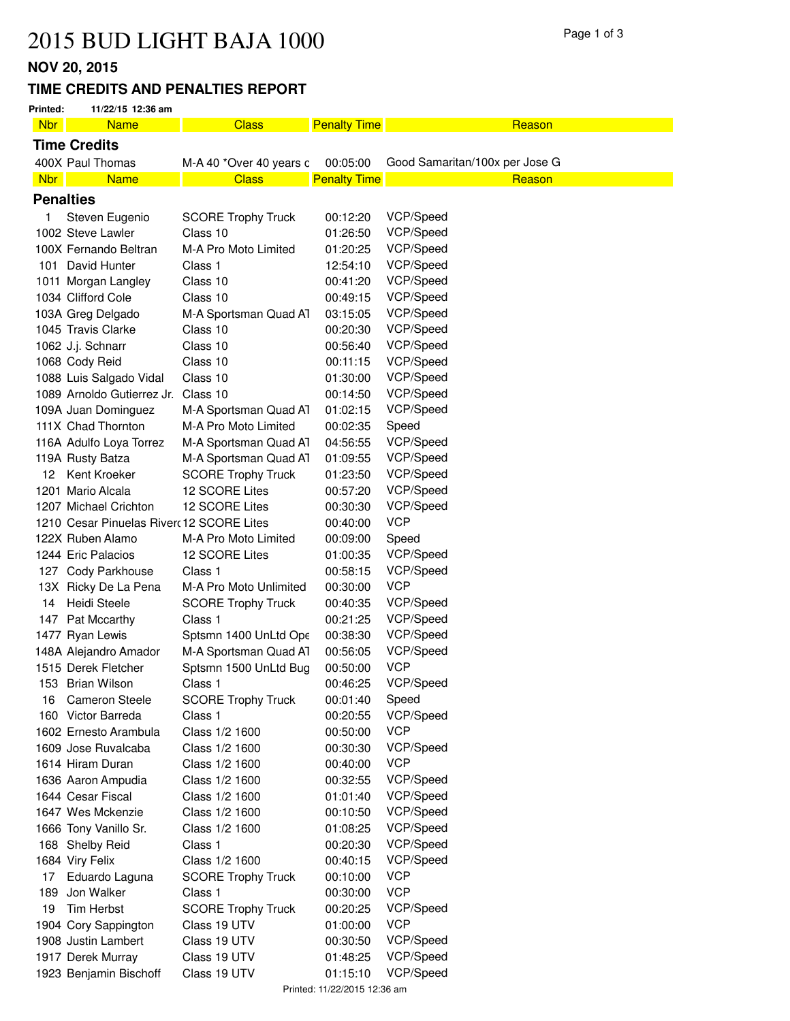# Page 1 of 3 Page 1 of 3

## **NOV 20, 2015**

#### **TIME CREDITS AND PENALTIES REPORT**

|                                   | IVU V ZU, ZU IJ |                                          |                           |                     |                                |  |  |
|-----------------------------------|-----------------|------------------------------------------|---------------------------|---------------------|--------------------------------|--|--|
| TIME CREDITS AND PENALTIES REPORT |                 |                                          |                           |                     |                                |  |  |
|                                   | Printed:        | 11/22/15 12:36 am                        |                           |                     |                                |  |  |
|                                   | <b>Nbr</b>      | <b>Name</b>                              | <b>Class</b>              | <b>Penalty Time</b> | Reason                         |  |  |
|                                   |                 | <b>Time Credits</b>                      |                           |                     |                                |  |  |
|                                   |                 | 400X Paul Thomas                         | M-A 40 *Over 40 years c   | 00:05:00            | Good Samaritan/100x per Jose G |  |  |
|                                   | <b>Nbr</b>      | <b>Name</b>                              | <b>Class</b>              | <b>Penalty Time</b> | Reason                         |  |  |
|                                   |                 | <b>Penalties</b>                         |                           |                     |                                |  |  |
|                                   | 1               | Steven Eugenio                           | <b>SCORE Trophy Truck</b> | 00:12:20            | VCP/Speed                      |  |  |
|                                   |                 | 1002 Steve Lawler                        | Class 10                  | 01:26:50            | VCP/Speed                      |  |  |
|                                   |                 | 100X Fernando Beltran                    | M-A Pro Moto Limited      | 01:20:25            | VCP/Speed                      |  |  |
|                                   |                 | 101 David Hunter                         | Class 1                   | 12:54:10            | VCP/Speed                      |  |  |
|                                   |                 | 1011 Morgan Langley                      | Class 10                  | 00:41:20            | VCP/Speed                      |  |  |
|                                   |                 | 1034 Clifford Cole                       | Class 10                  | 00:49:15            | VCP/Speed                      |  |  |
|                                   |                 | 103A Greg Delgado                        | M-A Sportsman Quad AT     | 03:15:05            | VCP/Speed                      |  |  |
|                                   |                 | 1045 Travis Clarke                       | Class 10                  | 00:20:30            | VCP/Speed                      |  |  |
|                                   |                 | 1062 J.j. Schnarr                        | Class 10                  | 00:56:40            | VCP/Speed                      |  |  |
|                                   |                 | 1068 Cody Reid                           | Class 10                  | 00:11:15            | VCP/Speed                      |  |  |
|                                   |                 | 1088 Luis Salgado Vidal                  | Class 10                  | 01:30:00            | VCP/Speed                      |  |  |
|                                   |                 | 1089 Arnoldo Gutierrez Jr.               | Class 10                  | 00:14:50            | VCP/Speed                      |  |  |
|                                   |                 | 109A Juan Dominguez                      | M-A Sportsman Quad A1     | 01:02:15            | VCP/Speed                      |  |  |
|                                   |                 | 111X Chad Thornton                       | M-A Pro Moto Limited      | 00:02:35            | Speed                          |  |  |
|                                   |                 | 116A Adulfo Loya Torrez                  | M-A Sportsman Quad AT     | 04:56:55            | VCP/Speed                      |  |  |
|                                   |                 | 119A Rusty Batza                         | M-A Sportsman Quad A1     | 01:09:55            | VCP/Speed                      |  |  |
|                                   | 12              | Kent Kroeker                             | <b>SCORE Trophy Truck</b> | 01:23:50            | VCP/Speed                      |  |  |
|                                   |                 | 1201 Mario Alcala                        | 12 SCORE Lites            | 00:57:20            | VCP/Speed                      |  |  |
|                                   |                 | 1207 Michael Crichton                    | 12 SCORE Lites            | 00:30:30            | VCP/Speed                      |  |  |
|                                   |                 | 1210 Cesar Pinuelas River 12 SCORE Lites |                           | 00:40:00            | <b>VCP</b>                     |  |  |
|                                   |                 | 122X Ruben Alamo                         | M-A Pro Moto Limited      | 00:09:00            | Speed                          |  |  |
|                                   |                 | 1244 Eric Palacios                       | 12 SCORE Lites            | 01:00:35            | VCP/Speed                      |  |  |
|                                   |                 | 127 Cody Parkhouse                       | Class 1                   | 00:58:15            | VCP/Speed                      |  |  |
|                                   |                 | 13X Ricky De La Pena                     | M-A Pro Moto Unlimited    | 00:30:00            | <b>VCP</b>                     |  |  |
|                                   | 14              | Heidi Steele                             | <b>SCORE Trophy Truck</b> | 00:40:35            | VCP/Speed                      |  |  |
|                                   |                 | 147 Pat Mccarthy                         | Class 1                   | 00:21:25            | VCP/Speed                      |  |  |
|                                   |                 | 1477 Ryan Lewis                          | Sptsmn 1400 UnLtd Ope     | 00:38:30            | VCP/Speed                      |  |  |
|                                   |                 | 148A Alejandro Amador                    | M-A Sportsman Quad A1     | 00:56:05            | VCP/Speed                      |  |  |
|                                   |                 | 1515 Derek Fletcher                      | Sptsmn 1500 UnLtd Bug     | 00:50:00            | <b>VCP</b>                     |  |  |
|                                   |                 | 153 Brian Wilson                         | Class 1                   | 00:46:25            | VCP/Speed                      |  |  |
|                                   | 16              | <b>Cameron Steele</b>                    | <b>SCORE Trophy Truck</b> | 00:01:40            | Speed                          |  |  |
|                                   |                 | 160 Victor Barreda                       | Class 1                   | 00:20:55            | VCP/Speed                      |  |  |

|     | 116A Adulfo Loya Torrez                  | M-A Sportsman Quad AT     | 04:56:55                     | VCP/Speed  |
|-----|------------------------------------------|---------------------------|------------------------------|------------|
|     | 119A Rusty Batza                         | M-A Sportsman Quad A1     | 01:09:55                     | VCP/Speed  |
| 12  | Kent Kroeker                             | <b>SCORE Trophy Truck</b> | 01:23:50                     | VCP/Speed  |
|     | 1201 Mario Alcala                        | 12 SCORE Lites            | 00:57:20                     | VCP/Speed  |
|     | 1207 Michael Crichton                    | 12 SCORE Lites            | 00:30:30                     | VCP/Speed  |
|     | 1210 Cesar Pinuelas River 12 SCORE Lites |                           | 00:40:00                     | <b>VCP</b> |
|     | 122X Ruben Alamo                         | M-A Pro Moto Limited      | 00:09:00                     | Speed      |
|     | 1244 Eric Palacios                       | 12 SCORE Lites            | 01:00:35                     | VCP/Speed  |
|     | 127 Cody Parkhouse                       | Class 1                   | 00:58:15                     | VCP/Speed  |
|     | 13X Ricky De La Pena                     | M-A Pro Moto Unlimited    | 00:30:00                     | <b>VCP</b> |
| 14  | Heidi Steele                             | <b>SCORE Trophy Truck</b> | 00:40:35                     | VCP/Speed  |
|     | 147 Pat Mccarthy                         | Class 1                   | 00:21:25                     | VCP/Speed  |
|     | 1477 Ryan Lewis                          | Sptsmn 1400 UnLtd Ope     | 00:38:30                     | VCP/Speed  |
|     | 148A Alejandro Amador                    | M-A Sportsman Quad AT     | 00:56:05                     | VCP/Speed  |
|     | 1515 Derek Fletcher                      | Sptsmn 1500 UnLtd Bug     | 00:50:00                     | <b>VCP</b> |
|     | 153 Brian Wilson                         | Class 1                   | 00:46:25                     | VCP/Speed  |
| 16  | <b>Cameron Steele</b>                    | <b>SCORE Trophy Truck</b> | 00:01:40                     | Speed      |
|     | 160 Victor Barreda                       | Class 1                   | 00:20:55                     | VCP/Speed  |
|     | 1602 Ernesto Arambula                    | Class 1/2 1600            | 00:50:00                     | <b>VCP</b> |
|     | 1609 Jose Ruvalcaba                      | Class 1/2 1600            | 00:30:30                     | VCP/Speed  |
|     | 1614 Hiram Duran                         | Class 1/2 1600            | 00:40:00                     | <b>VCP</b> |
|     | 1636 Aaron Ampudia                       | Class 1/2 1600            | 00:32:55                     | VCP/Speed  |
|     | 1644 Cesar Fiscal                        | Class 1/2 1600            | 01:01:40                     | VCP/Speed  |
|     | 1647 Wes Mckenzie                        | Class 1/2 1600            | 00:10:50                     | VCP/Speed  |
|     | 1666 Tony Vanillo Sr.                    | Class 1/2 1600            | 01:08:25                     | VCP/Speed  |
|     | 168 Shelby Reid                          | Class 1                   | 00:20:30                     | VCP/Speed  |
|     | 1684 Viry Felix                          | Class 1/2 1600            | 00:40:15                     | VCP/Speed  |
| 17  | Eduardo Laguna                           | <b>SCORE Trophy Truck</b> | 00:10:00                     | <b>VCP</b> |
| 189 | Jon Walker                               | Class 1                   | 00:30:00                     | <b>VCP</b> |
| 19  | <b>Tim Herbst</b>                        | <b>SCORE Trophy Truck</b> | 00:20:25                     | VCP/Speed  |
|     | 1904 Cory Sappington                     | Class 19 UTV              | 01:00:00                     | <b>VCP</b> |
|     | 1908 Justin Lambert                      | Class 19 UTV              | 00:30:50                     | VCP/Speed  |
|     | 1917 Derek Murray                        | Class 19 UTV              | 01:48:25                     | VCP/Speed  |
|     | 1923 Benjamin Bischoff                   | Class 19 UTV              | 01:15:10                     | VCP/Speed  |
|     |                                          |                           | Printed: 11/22/2015 12:36 am |            |
|     |                                          |                           |                              |            |
|     |                                          |                           |                              |            |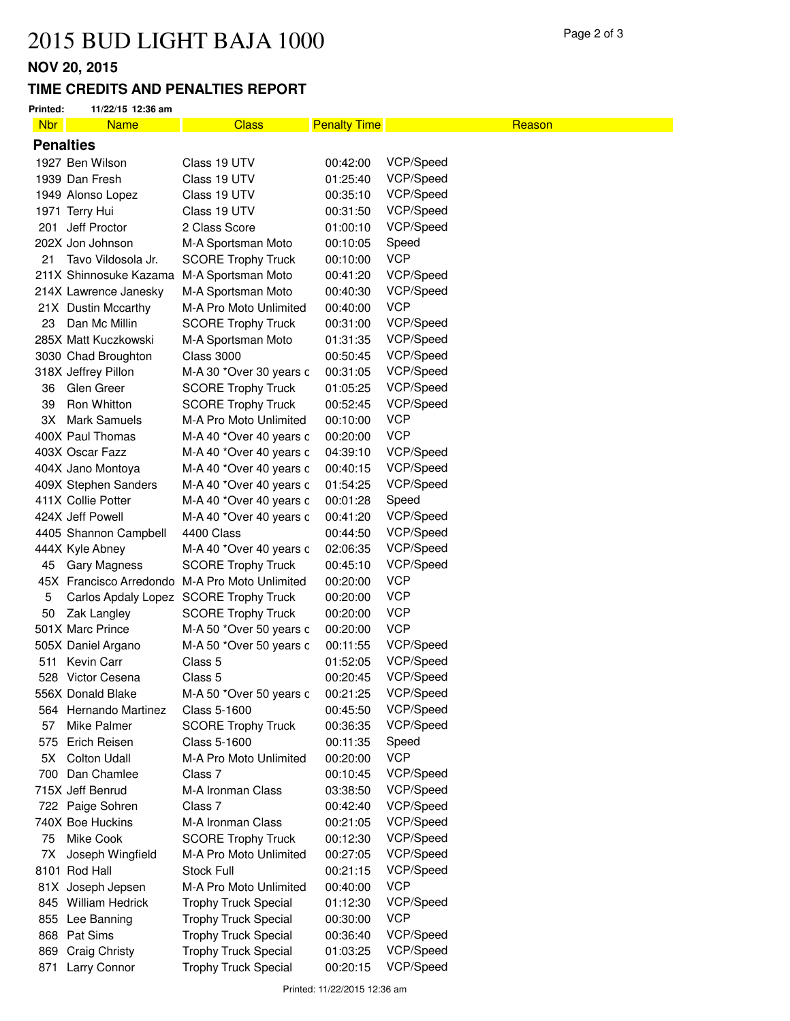### **NOV 20, 2015**

### **TIME CREDITS AND PENALTIES REPORT**

| <b>Nbr</b>       | <b>Name</b>            | <b>Class</b>                                   | <b>Penalty Time</b> | Reason     |  |
|------------------|------------------------|------------------------------------------------|---------------------|------------|--|
| <b>Penalties</b> |                        |                                                |                     |            |  |
|                  | 1927 Ben Wilson        | Class 19 UTV                                   | 00:42:00            | VCP/Speed  |  |
|                  | 1939 Dan Fresh         | Class 19 UTV                                   | 01:25:40            | VCP/Speed  |  |
|                  | 1949 Alonso Lopez      | Class 19 UTV                                   | 00:35:10            | VCP/Speed  |  |
|                  | 1971 Terry Hui         | Class 19 UTV                                   | 00:31:50            | VCP/Speed  |  |
|                  | 201 Jeff Proctor       | 2 Class Score                                  | 01:00:10            | VCP/Speed  |  |
|                  | 202X Jon Johnson       | M-A Sportsman Moto                             | 00:10:05            | Speed      |  |
| 21               | Tavo Vildosola Jr.     | <b>SCORE Trophy Truck</b>                      | 00:10:00            | <b>VCP</b> |  |
|                  | 211X Shinnosuke Kazama | M-A Sportsman Moto                             | 00:41:20            | VCP/Speed  |  |
|                  | 214X Lawrence Janesky  | M-A Sportsman Moto                             | 00:40:30            | VCP/Speed  |  |
|                  | 21X Dustin Mccarthy    | M-A Pro Moto Unlimited                         | 00:40:00            | <b>VCP</b> |  |
| 23               | Dan Mc Millin          | <b>SCORE Trophy Truck</b>                      | 00:31:00            | VCP/Speed  |  |
|                  | 285X Matt Kuczkowski   | M-A Sportsman Moto                             | 01:31:35            | VCP/Speed  |  |
|                  | 3030 Chad Broughton    | <b>Class 3000</b>                              | 00:50:45            | VCP/Speed  |  |
|                  | 318X Jeffrey Pillon    | M-A 30 *Over 30 years c                        | 00:31:05            | VCP/Speed  |  |
| 36               | Glen Greer             | <b>SCORE Trophy Truck</b>                      | 01:05:25            | VCP/Speed  |  |
| 39               | Ron Whitton            | <b>SCORE Trophy Truck</b>                      | 00:52:45            | VCP/Speed  |  |
| 3X               | <b>Mark Samuels</b>    | M-A Pro Moto Unlimited                         | 00:10:00            | <b>VCP</b> |  |
|                  | 400X Paul Thomas       | M-A 40 *Over 40 years c                        | 00:20:00            | <b>VCP</b> |  |
|                  | 403X Oscar Fazz        | M-A 40 *Over 40 years c                        | 04:39:10            | VCP/Speed  |  |
|                  | 404X Jano Montoya      | M-A 40 *Over 40 years c                        | 00:40:15            | VCP/Speed  |  |
|                  | 409X Stephen Sanders   | M-A 40 *Over 40 years c                        | 01:54:25            | VCP/Speed  |  |
|                  | 411X Collie Potter     | M-A 40 *Over 40 years c                        | 00:01:28            | Speed      |  |
|                  | 424X Jeff Powell       | M-A 40 *Over 40 years c                        | 00:41:20            | VCP/Speed  |  |
|                  | 4405 Shannon Campbell  | 4400 Class                                     | 00:44:50            | VCP/Speed  |  |
|                  | 444X Kyle Abney        | M-A 40 *Over 40 years c                        | 02:06:35            | VCP/Speed  |  |
| 45               | Gary Magness           | <b>SCORE Trophy Truck</b>                      | 00:45:10            | VCP/Speed  |  |
|                  |                        | 45X Francisco Arredondo M-A Pro Moto Unlimited | 00:20:00            | <b>VCP</b> |  |
| 5                |                        | Carlos Apdaly Lopez SCORE Trophy Truck         | 00:20:00            | <b>VCP</b> |  |
| 50               | Zak Langley            | <b>SCORE Trophy Truck</b>                      | 00:20:00            | <b>VCP</b> |  |
|                  | 501X Marc Prince       | M-A 50 *Over 50 years c                        | 00:20:00            | <b>VCP</b> |  |
|                  | 505X Daniel Argano     | M-A 50 *Over 50 years c                        | 00:11:55            | VCP/Speed  |  |
|                  | 511 Kevin Carr         | Class 5                                        | 01:52:05            | VCP/Speed  |  |
|                  | 528 Victor Cesena      | Class 5                                        | 00:20:45            | VCP/Speed  |  |
|                  | 556X Donald Blake      | M-A 50 *Over 50 years c                        | 00:21:25            | VCP/Speed  |  |
|                  | 564 Hernando Martinez  | Class 5-1600                                   | 00:45:50            | VCP/Speed  |  |
| 57               | Mike Palmer            | <b>SCORE Trophy Truck</b>                      | 00:36:35            | VCP/Speed  |  |
| 575              | Erich Reisen           | Class 5-1600                                   | 00:11:35            | Speed      |  |
| 5X               | <b>Colton Udall</b>    | M-A Pro Moto Unlimited                         | 00:20:00            | <b>VCP</b> |  |
| 700              | Dan Chamlee            | Class 7                                        | 00:10:45            | VCP/Speed  |  |
|                  | 715X Jeff Benrud       | M-A Ironman Class                              | 03:38:50            | VCP/Speed  |  |
|                  | 722 Paige Sohren       | Class 7                                        | 00:42:40            | VCP/Speed  |  |
|                  | 740X Boe Huckins       | M-A Ironman Class                              | 00:21:05            | VCP/Speed  |  |
| 75               | Mike Cook              | <b>SCORE Trophy Truck</b>                      | 00:12:30            | VCP/Speed  |  |
| 7X               | Joseph Wingfield       | M-A Pro Moto Unlimited                         | 00:27:05            | VCP/Speed  |  |
|                  | 8101 Rod Hall          | Stock Full                                     | 00:21:15            | VCP/Speed  |  |
|                  | 81X Joseph Jepsen      | M-A Pro Moto Unlimited                         | 00:40:00            | <b>VCP</b> |  |
|                  | 845 William Hedrick    | <b>Trophy Truck Special</b>                    | 01:12:30            | VCP/Speed  |  |
|                  | 855 Lee Banning        | <b>Trophy Truck Special</b>                    | 00:30:00            | <b>VCP</b> |  |
| 868              | Pat Sims               | <b>Trophy Truck Special</b>                    | 00:36:40            | VCP/Speed  |  |
| 869              | <b>Craig Christy</b>   | <b>Trophy Truck Special</b>                    | 01:03:25            | VCP/Speed  |  |
| 871              | Larry Connor           | <b>Trophy Truck Special</b>                    | 00:20:15            | VCP/Speed  |  |